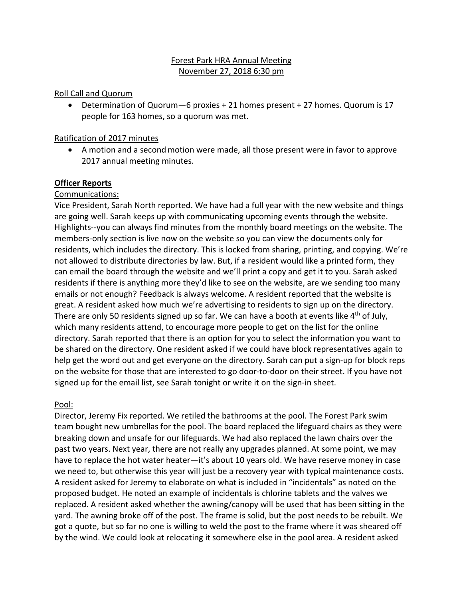# Forest Park HRA Annual Meeting November 27, 2018 6:30 pm

### Roll Call and Quorum

• Determination of Quorum—6 proxies + 21 homes present + 27 homes. Quorum is 17 people for 163 homes, so a quorum was met.

#### Ratification of 2017 minutes

• A motion and a second motion were made, all those present were in favor to approve 2017 annual meeting minutes.

### **Officer Reports**

### Communications:

Vice President, Sarah North reported. We have had a full year with the new website and things are going well. Sarah keeps up with communicating upcoming events through the website. Highlights--you can always find minutes from the monthly board meetings on the website. The members-only section is live now on the website so you can view the documents only for residents, which includes the directory. This is locked from sharing, printing, and copying. We're not allowed to distribute directories by law. But, if a resident would like a printed form, they can email the board through the website and we'll print a copy and get it to you. Sarah asked residents if there is anything more they'd like to see on the website, are we sending too many emails or not enough? Feedback is always welcome. A resident reported that the website is great. A resident asked how much we're advertising to residents to sign up on the directory. There are only 50 residents signed up so far. We can have a booth at events like 4<sup>th</sup> of July, which many residents attend, to encourage more people to get on the list for the online directory. Sarah reported that there is an option for you to select the information you want to be shared on the directory. One resident asked if we could have block representatives again to help get the word out and get everyone on the directory. Sarah can put a sign-up for block reps on the website for those that are interested to go door-to-door on their street. If you have not signed up for the email list, see Sarah tonight or write it on the sign-in sheet.

### Pool:

Director, Jeremy Fix reported. We retiled the bathrooms at the pool. The Forest Park swim team bought new umbrellas for the pool. The board replaced the lifeguard chairs as they were breaking down and unsafe for our lifeguards. We had also replaced the lawn chairs over the past two years. Next year, there are not really any upgrades planned. At some point, we may have to replace the hot water heater—it's about 10 years old. We have reserve money in case we need to, but otherwise this year will just be a recovery year with typical maintenance costs. A resident asked for Jeremy to elaborate on what is included in "incidentals" as noted on the proposed budget. He noted an example of incidentals is chlorine tablets and the valves we replaced. A resident asked whether the awning/canopy will be used that has been sitting in the yard. The awning broke off of the post. The frame is solid, but the post needs to be rebuilt. We got a quote, but so far no one is willing to weld the post to the frame where it was sheared off by the wind. We could look at relocating it somewhere else in the pool area. A resident asked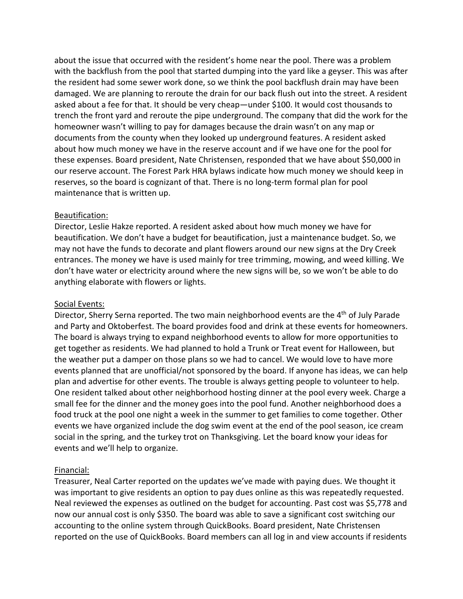about the issue that occurred with the resident's home near the pool. There was a problem with the backflush from the pool that started dumping into the yard like a geyser. This was after the resident had some sewer work done, so we think the pool backflush drain may have been damaged. We are planning to reroute the drain for our back flush out into the street. A resident asked about a fee for that. It should be very cheap—under \$100. It would cost thousands to trench the front yard and reroute the pipe underground. The company that did the work for the homeowner wasn't willing to pay for damages because the drain wasn't on any map or documents from the county when they looked up underground features. A resident asked about how much money we have in the reserve account and if we have one for the pool for these expenses. Board president, Nate Christensen, responded that we have about \$50,000 in our reserve account. The Forest Park HRA bylaws indicate how much money we should keep in reserves, so the board is cognizant of that. There is no long-term formal plan for pool maintenance that is written up.

### Beautification:

Director, Leslie Hakze reported. A resident asked about how much money we have for beautification. We don't have a budget for beautification, just a maintenance budget. So, we may not have the funds to decorate and plant flowers around our new signs at the Dry Creek entrances. The money we have is used mainly for tree trimming, mowing, and weed killing. We don't have water or electricity around where the new signs will be, so we won't be able to do anything elaborate with flowers or lights.

### Social Events:

Director, Sherry Serna reported. The two main neighborhood events are the 4<sup>th</sup> of July Parade and Party and Oktoberfest. The board provides food and drink at these events for homeowners. The board is always trying to expand neighborhood events to allow for more opportunities to get together as residents. We had planned to hold a Trunk or Treat event for Halloween, but the weather put a damper on those plans so we had to cancel. We would love to have more events planned that are unofficial/not sponsored by the board. If anyone has ideas, we can help plan and advertise for other events. The trouble is always getting people to volunteer to help. One resident talked about other neighborhood hosting dinner at the pool every week. Charge a small fee for the dinner and the money goes into the pool fund. Another neighborhood does a food truck at the pool one night a week in the summer to get families to come together. Other events we have organized include the dog swim event at the end of the pool season, ice cream social in the spring, and the turkey trot on Thanksgiving. Let the board know your ideas for events and we'll help to organize.

### Financial:

Treasurer, Neal Carter reported on the updates we've made with paying dues. We thought it was important to give residents an option to pay dues online as this was repeatedly requested. Neal reviewed the expenses as outlined on the budget for accounting. Past cost was \$5,778 and now our annual cost is only \$350. The board was able to save a significant cost switching our accounting to the online system through QuickBooks. Board president, Nate Christensen reported on the use of QuickBooks. Board members can all log in and view accounts if residents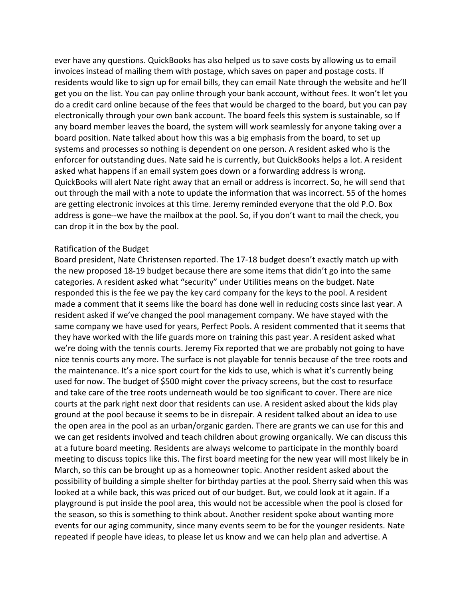ever have any questions. QuickBooks has also helped us to save costs by allowing us to email invoices instead of mailing them with postage, which saves on paper and postage costs. If residents would like to sign up for email bills, they can email Nate through the website and he'll get you on the list. You can pay online through your bank account, without fees. It won't let you do a credit card online because of the fees that would be charged to the board, but you can pay electronically through your own bank account. The board feels this system is sustainable, so If any board member leaves the board, the system will work seamlessly for anyone taking over a board position. Nate talked about how this was a big emphasis from the board, to set up systems and processes so nothing is dependent on one person. A resident asked who is the enforcer for outstanding dues. Nate said he is currently, but QuickBooks helps a lot. A resident asked what happens if an email system goes down or a forwarding address is wrong. QuickBooks will alert Nate right away that an email or address is incorrect. So, he will send that out through the mail with a note to update the information that was incorrect. 55 of the homes are getting electronic invoices at this time. Jeremy reminded everyone that the old P.O. Box address is gone--we have the mailbox at the pool. So, if you don't want to mail the check, you can drop it in the box by the pool.

#### Ratification of the Budget

Board president, Nate Christensen reported. The 17-18 budget doesn't exactly match up with the new proposed 18-19 budget because there are some items that didn't go into the same categories. A resident asked what "security" under Utilities means on the budget. Nate responded this is the fee we pay the key card company for the keys to the pool. A resident made a comment that it seems like the board has done well in reducing costs since last year. A resident asked if we've changed the pool management company. We have stayed with the same company we have used for years, Perfect Pools. A resident commented that it seems that they have worked with the life guards more on training this past year. A resident asked what we're doing with the tennis courts. Jeremy Fix reported that we are probably not going to have nice tennis courts any more. The surface is not playable for tennis because of the tree roots and the maintenance. It's a nice sport court for the kids to use, which is what it's currently being used for now. The budget of \$500 might cover the privacy screens, but the cost to resurface and take care of the tree roots underneath would be too significant to cover. There are nice courts at the park right next door that residents can use. A resident asked about the kids play ground at the pool because it seems to be in disrepair. A resident talked about an idea to use the open area in the pool as an urban/organic garden. There are grants we can use for this and we can get residents involved and teach children about growing organically. We can discuss this at a future board meeting. Residents are always welcome to participate in the monthly board meeting to discuss topics like this. The first board meeting for the new year will most likely be in March, so this can be brought up as a homeowner topic. Another resident asked about the possibility of building a simple shelter for birthday parties at the pool. Sherry said when this was looked at a while back, this was priced out of our budget. But, we could look at it again. If a playground is put inside the pool area, this would not be accessible when the pool is closed for the season, so this is something to think about. Another resident spoke about wanting more events for our aging community, since many events seem to be for the younger residents. Nate repeated if people have ideas, to please let us know and we can help plan and advertise. A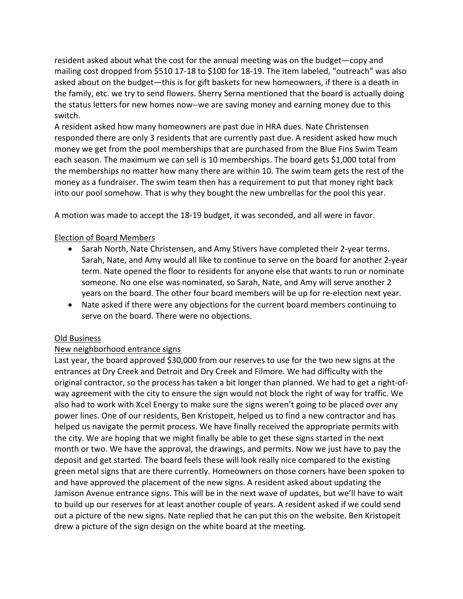resident asked about what the cost for the annual meeting was on the budget—copy and mailing cost dropped from \$510 17-18 to \$100 for 18-19. The item labeled, "outreach" was also asked about on the budget—this is for gift baskets for new homeowners, if there is a death in the family, etc. we try to send flowers. Sherry Serna mentioned that the board is actually doing the status letters for new homes now--we are saving money and earning money due to this switch.

A resident asked how many homeowners are past due in HRA dues. Nate Christensen responded there are only 3 residents that are currently past due. A resident asked how much money we get from the pool memberships that are purchased from the Blue Fins Swim Team each season. The maximum we can sell is 10 memberships. The board gets \$1,000 total from the memberships no matter how many there are within 10. The swim team gets the rest of the money as a fundraiser. The swim team then has a requirement to put that money right back into our pool somehow. That is why they bought the new umbrellas for the pool this year.

A motion was made to accept the 18-19 budget, it was seconded, and all were in favor.

# Election of Board Members

- Sarah North, Nate Christensen, and Amy Stivers have completed their 2-year terms. Sarah, Nate, and Amy would all like to continue to serve on the board for another 2-year term. Nate opened the floor to residents for anyone else that wants to run or nominate someone. No one else was nominated, so Sarah, Nate, and Amy will serve another 2 years on the board. The other four board members will be up for re-election next year.
- Nate asked if there were any objections for the current board members continuing to serve on the board. There were no objections.

# Old Business

# New neighborhood entrance signs

Last year, the board approved \$30,000 from our reserves to use for the two new signs at the entrances at Dry Creek and Detroit and Dry Creek and Filmore. We had difficulty with the original contractor, so the process has taken a bit longer than planned. We had to get a right-ofway agreement with the city to ensure the sign would not block the right of way for traffic. We also had to work with Xcel Energy to make sure the signs weren't going to be placed over any power lines. One of our residents, Ben Kristopeit, helped us to find a new contractor and has helped us navigate the permit process. We have finally received the appropriate permits with the city. We are hoping that we might finally be able to get these signs started in the next month or two. We have the approval, the drawings, and permits. Now we just have to pay the deposit and get started. The board feels these will look really nice compared to the existing green metal signs that are there currently. Homeowners on those corners have been spoken to and have approved the placement of the new signs. A resident asked about updating the Jamison Avenue entrance signs. This will be in the next wave of updates, but we'll have to wait to build up our reserves for at least another couple of years. A resident asked if we could send out a picture of the new signs. Nate replied that he can put this on the website. Ben Kristopeit drew a picture of the sign design on the white board at the meeting.